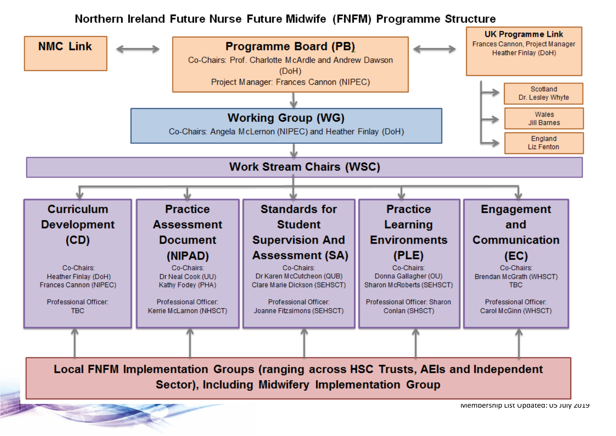#### Northern Ireland Future Nurse Future Midwife (FNFM) Programme Structure

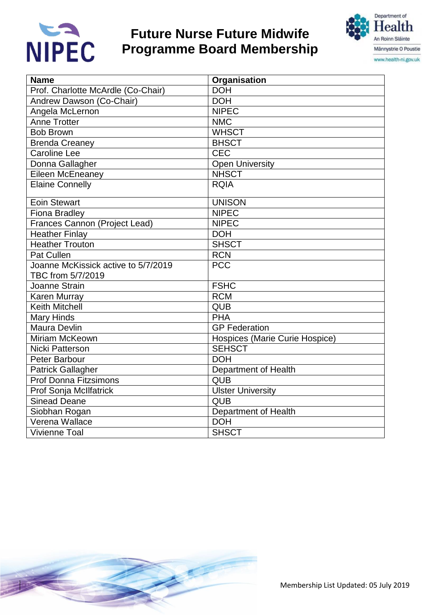

### **Future Nurse Future Midwife Programme Board Membership**



| <b>Name</b>                         | Organisation                   |
|-------------------------------------|--------------------------------|
| Prof. Charlotte McArdle (Co-Chair)  | <b>DOH</b>                     |
| Andrew Dawson (Co-Chair)            | <b>DOH</b>                     |
| Angela McLernon                     | <b>NIPEC</b>                   |
| <b>Anne Trotter</b>                 | <b>NMC</b>                     |
| <b>Bob Brown</b>                    | <b>WHSCT</b>                   |
| <b>Brenda Creaney</b>               | <b>BHSCT</b>                   |
| <b>Caroline Lee</b>                 | <b>CEC</b>                     |
| Donna Gallagher                     | <b>Open University</b>         |
| Eileen McEneaney                    | <b>NHSCT</b>                   |
| <b>Elaine Connelly</b>              | <b>RQIA</b>                    |
| <b>Eoin Stewart</b>                 | <b>UNISON</b>                  |
| <b>Fiona Bradley</b>                | <b>NIPEC</b>                   |
| Frances Cannon (Project Lead)       | <b>NIPEC</b>                   |
| <b>Heather Finlay</b>               | <b>DOH</b>                     |
| <b>Heather Trouton</b>              | <b>SHSCT</b>                   |
| Pat Cullen                          | <b>RCN</b>                     |
| Joanne McKissick active to 5/7/2019 | <b>PCC</b>                     |
| TBC from 5/7/2019                   |                                |
| Joanne Strain                       | <b>FSHC</b>                    |
| Karen Murray                        | <b>RCM</b>                     |
| <b>Keith Mitchell</b>               | <b>QUB</b>                     |
| <b>Mary Hinds</b>                   | <b>PHA</b>                     |
| Maura Devlin                        | <b>GP Federation</b>           |
| Miriam McKeown                      | Hospices (Marie Curie Hospice) |
| <b>Nicki Patterson</b>              | <b>SEHSCT</b>                  |
| Peter Barbour                       | <b>DOH</b>                     |
| <b>Patrick Gallagher</b>            | Department of Health           |
| <b>Prof Donna Fitzsimons</b>        | QUB                            |
| Prof Sonja McIlfatrick              | <b>Ulster University</b>       |
| <b>Sinead Deane</b>                 | <b>QUB</b>                     |
| Siobhan Rogan                       | Department of Health           |
| Verena Wallace                      | <b>DOH</b>                     |
| <b>Vivienne Toal</b>                | <b>SHSCT</b>                   |

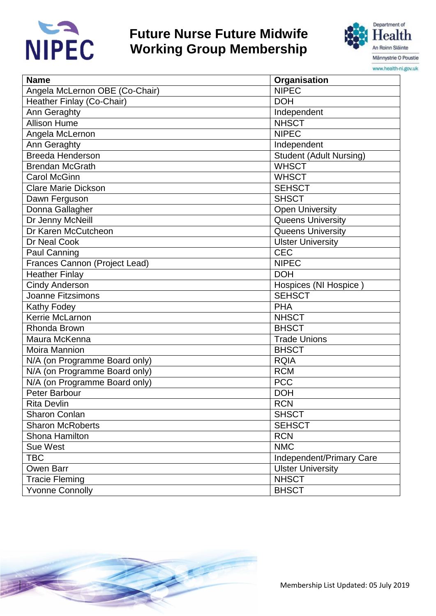

#### **Future Nurse Future Midwife Working Group Membership**



| <b>Name</b>                    | Organisation                   |
|--------------------------------|--------------------------------|
| Angela McLernon OBE (Co-Chair) | <b>NIPEC</b>                   |
| Heather Finlay (Co-Chair)      | <b>DOH</b>                     |
| Ann Geraghty                   | Independent                    |
| <b>Allison Hume</b>            | <b>NHSCT</b>                   |
| Angela McLernon                | <b>NIPEC</b>                   |
| Ann Geraghty                   | Independent                    |
| <b>Breeda Henderson</b>        | <b>Student (Adult Nursing)</b> |
| <b>Brendan McGrath</b>         | <b>WHSCT</b>                   |
| <b>Carol McGinn</b>            | <b>WHSCT</b>                   |
| <b>Clare Marie Dickson</b>     | <b>SEHSCT</b>                  |
| Dawn Ferguson                  | <b>SHSCT</b>                   |
| Donna Gallagher                | <b>Open University</b>         |
| Dr Jenny McNeill               | <b>Queens University</b>       |
| Dr Karen McCutcheon            | <b>Queens University</b>       |
| Dr Neal Cook                   | <b>Ulster University</b>       |
| Paul Canning                   | <b>CEC</b>                     |
| Frances Cannon (Project Lead)  | <b>NIPEC</b>                   |
| <b>Heather Finlay</b>          | <b>DOH</b>                     |
| <b>Cindy Anderson</b>          | Hospices (NI Hospice)          |
| <b>Joanne Fitzsimons</b>       | <b>SEHSCT</b>                  |
| Kathy Fodey                    | <b>PHA</b>                     |
| Kerrie McLarnon                | <b>NHSCT</b>                   |
| Rhonda Brown                   | <b>BHSCT</b>                   |
| Maura McKenna                  | <b>Trade Unions</b>            |
| Moira Mannion                  | <b>BHSCT</b>                   |
| N/A (on Programme Board only)  | <b>RQIA</b>                    |
| N/A (on Programme Board only)  | <b>RCM</b>                     |
| N/A (on Programme Board only)  | <b>PCC</b>                     |
| Peter Barbour                  | <b>DOH</b>                     |
| Rita Devlin                    | <b>RCN</b>                     |
| Sharon Conlan                  | <b>SHSCT</b>                   |
| <b>Sharon McRoberts</b>        | <b>SEHSCT</b>                  |
| Shona Hamilton                 | <b>RCN</b>                     |
| <b>Sue West</b>                | <b>NMC</b>                     |
| <b>TBC</b>                     | Independent/Primary Care       |
| Owen Barr                      | <b>Ulster University</b>       |
| <b>Tracie Fleming</b>          | <b>NHSCT</b>                   |
| <b>Yvonne Connolly</b>         | <b>BHSCT</b>                   |

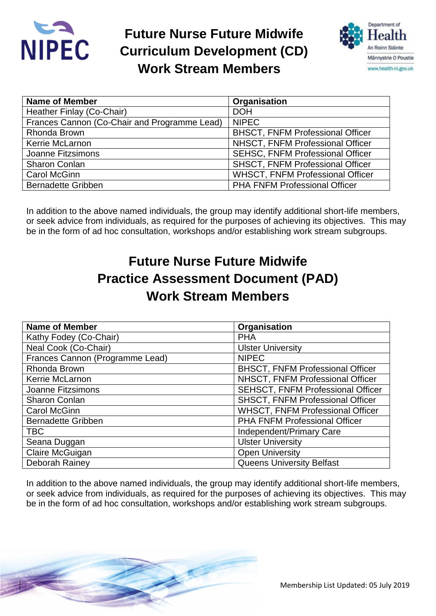

### **Future Nurse Future Midwife Curriculum Development (CD) Work Stream Members**



| <b>Name of Member</b>                        | Organisation                            |
|----------------------------------------------|-----------------------------------------|
| Heather Finlay (Co-Chair)                    | <b>DOH</b>                              |
| Frances Cannon (Co-Chair and Programme Lead) | <b>NIPEC</b>                            |
| Rhonda Brown                                 | <b>BHSCT, FNFM Professional Officer</b> |
| Kerrie McLarnon                              | NHSCT, FNFM Professional Officer        |
| Joanne Fitzsimons                            | <b>SEHSC, FNFM Professional Officer</b> |
| <b>Sharon Conlan</b>                         | <b>SHSCT, FNFM Professional Officer</b> |
| <b>Carol McGinn</b>                          | <b>WHSCT, FNFM Professional Officer</b> |
| <b>Bernadette Gribben</b>                    | <b>PHA FNFM Professional Officer</b>    |

In addition to the above named individuals, the group may identify additional short-life members, or seek advice from individuals, as required for the purposes of achieving its objectives. This may be in the form of ad hoc consultation, workshops and/or establishing work stream subgroups.

### **Future Nurse Future Midwife Practice Assessment Document (PAD) Work Stream Members**

| <b>Name of Member</b>           | Organisation                             |
|---------------------------------|------------------------------------------|
| Kathy Fodey (Co-Chair)          | <b>PHA</b>                               |
| Neal Cook (Co-Chair)            | <b>Ulster University</b>                 |
| Frances Cannon (Programme Lead) | <b>NIPEC</b>                             |
| Rhonda Brown                    | <b>BHSCT, FNFM Professional Officer</b>  |
| Kerrie McLarnon                 | NHSCT, FNFM Professional Officer         |
| <b>Joanne Fitzsimons</b>        | <b>SEHSCT, FNFM Professional Officer</b> |
| <b>Sharon Conlan</b>            | <b>SHSCT, FNFM Professional Officer</b>  |
| <b>Carol McGinn</b>             | <b>WHSCT, FNFM Professional Officer</b>  |
| <b>Bernadette Gribben</b>       | PHA FNFM Professional Officer            |
| <b>TBC</b>                      | Independent/Primary Care                 |
| Seana Duggan                    | <b>Ulster University</b>                 |
| Claire McGuigan                 | <b>Open University</b>                   |
| Deborah Rainey                  | <b>Queens University Belfast</b>         |

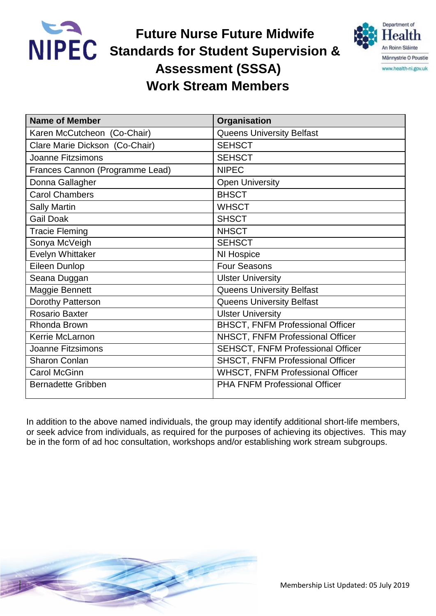

**Future Nurse Future Midwife NIPEC** Standards for Student Supervision &  **Assessment (SSSA) Work Stream Members**



| <b>Name of Member</b>           | Organisation                             |
|---------------------------------|------------------------------------------|
| Karen McCutcheon (Co-Chair)     | <b>Queens University Belfast</b>         |
| Clare Marie Dickson (Co-Chair)  | <b>SEHSCT</b>                            |
| <b>Joanne Fitzsimons</b>        | <b>SEHSCT</b>                            |
| Frances Cannon (Programme Lead) | <b>NIPEC</b>                             |
| Donna Gallagher                 | <b>Open University</b>                   |
| <b>Carol Chambers</b>           | <b>BHSCT</b>                             |
| <b>Sally Martin</b>             | <b>WHSCT</b>                             |
| <b>Gail Doak</b>                | <b>SHSCT</b>                             |
| <b>Tracie Fleming</b>           | <b>NHSCT</b>                             |
| Sonya McVeigh                   | <b>SEHSCT</b>                            |
| <b>Evelyn Whittaker</b>         | NI Hospice                               |
| Eileen Dunlop                   | <b>Four Seasons</b>                      |
| Seana Duggan                    | <b>Ulster University</b>                 |
| Maggie Bennett                  | <b>Queens University Belfast</b>         |
| Dorothy Patterson               | <b>Queens University Belfast</b>         |
| <b>Rosario Baxter</b>           | <b>Ulster University</b>                 |
| Rhonda Brown                    | <b>BHSCT, FNFM Professional Officer</b>  |
| Kerrie McLarnon                 | NHSCT, FNFM Professional Officer         |
| <b>Joanne Fitzsimons</b>        | <b>SEHSCT, FNFM Professional Officer</b> |
| <b>Sharon Conlan</b>            | SHSCT, FNFM Professional Officer         |
| <b>Carol McGinn</b>             | <b>WHSCT, FNFM Professional Officer</b>  |
| <b>Bernadette Gribben</b>       | <b>PHA FNFM Professional Officer</b>     |

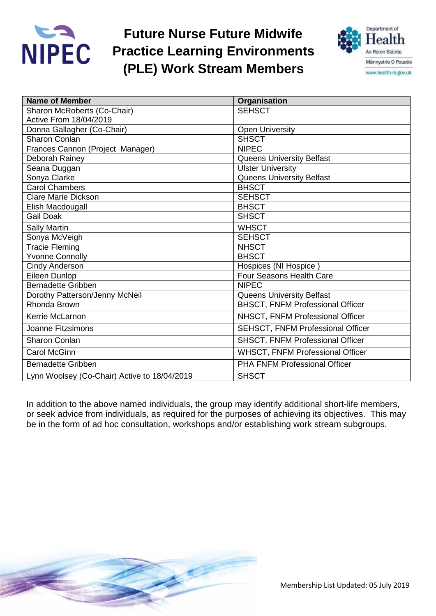

## **Future Nurse Future Midwife Practice Learning Environments (PLE) Work Stream Members**



| <b>Name of Member</b>                        | Organisation                            |
|----------------------------------------------|-----------------------------------------|
| Sharon McRoberts (Co-Chair)                  | <b>SEHSCT</b>                           |
| Active From 18/04/2019                       |                                         |
| Donna Gallagher (Co-Chair)                   | <b>Open University</b>                  |
| Sharon Conlan                                | <b>SHSCT</b>                            |
| Frances Cannon (Project Manager)             | <b>NIPEC</b>                            |
| Deborah Rainey                               | <b>Queens University Belfast</b>        |
| Seana Duggan                                 | <b>Ulster University</b>                |
| Sonya Clarke                                 | <b>Queens University Belfast</b>        |
| <b>Carol Chambers</b>                        | <b>BHSCT</b>                            |
| <b>Clare Marie Dickson</b>                   | <b>SEHSCT</b>                           |
| Elish Macdougall                             | <b>BHSCT</b>                            |
| <b>Gail Doak</b>                             | <b>SHSCT</b>                            |
| <b>Sally Martin</b>                          | <b>WHSCT</b>                            |
| Sonya McVeigh                                | <b>SEHSCT</b>                           |
| <b>Tracie Fleming</b>                        | <b>NHSCT</b>                            |
| <b>Yvonne Connolly</b>                       | <b>BHSCT</b>                            |
| <b>Cindy Anderson</b>                        | Hospices (NI Hospice)                   |
| Eileen Dunlop                                | Four Seasons Health Care                |
| <b>Bernadette Gribben</b>                    | <b>NIPEC</b>                            |
| Dorothy Patterson/Jenny McNeil               | <b>Queens University Belfast</b>        |
| Rhonda Brown                                 | <b>BHSCT, FNFM Professional Officer</b> |
| Kerrie McLarnon                              | NHSCT, FNFM Professional Officer        |
| Joanne Fitzsimons                            | SEHSCT, FNFM Professional Officer       |
| <b>Sharon Conlan</b>                         | SHSCT, FNFM Professional Officer        |
| <b>Carol McGinn</b>                          | <b>WHSCT, FNFM Professional Officer</b> |
| <b>Bernadette Gribben</b>                    | <b>PHA FNFM Professional Officer</b>    |
| Lynn Woolsey (Co-Chair) Active to 18/04/2019 | <b>SHSCT</b>                            |